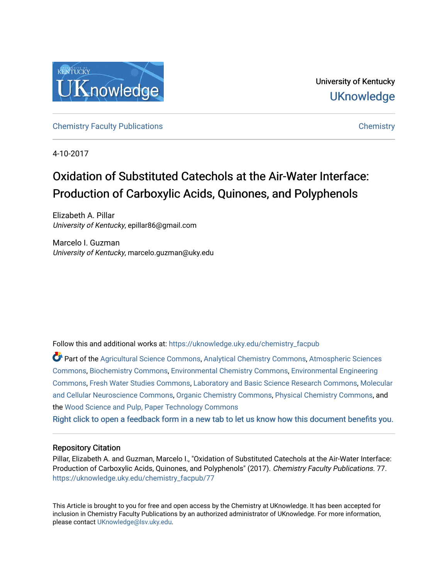

University of Kentucky **UKnowledge** 

[Chemistry Faculty Publications](https://uknowledge.uky.edu/chemistry_facpub) [Chemistry](https://uknowledge.uky.edu/chemistry) 

4-10-2017

# Oxidation of Substituted Catechols at the Air-Water Interface: Production of Carboxylic Acids, Quinones, and Polyphenols

Elizabeth A. Pillar University of Kentucky, epillar86@gmail.com

Marcelo I. Guzman University of Kentucky, marcelo.guzman@uky.edu

Follow this and additional works at: [https://uknowledge.uky.edu/chemistry\\_facpub](https://uknowledge.uky.edu/chemistry_facpub?utm_source=uknowledge.uky.edu%2Fchemistry_facpub%2F77&utm_medium=PDF&utm_campaign=PDFCoverPages) 

Part of the [Agricultural Science Commons](http://network.bepress.com/hgg/discipline/1063?utm_source=uknowledge.uky.edu%2Fchemistry_facpub%2F77&utm_medium=PDF&utm_campaign=PDFCoverPages), [Analytical Chemistry Commons](http://network.bepress.com/hgg/discipline/132?utm_source=uknowledge.uky.edu%2Fchemistry_facpub%2F77&utm_medium=PDF&utm_campaign=PDFCoverPages), [Atmospheric Sciences](http://network.bepress.com/hgg/discipline/187?utm_source=uknowledge.uky.edu%2Fchemistry_facpub%2F77&utm_medium=PDF&utm_campaign=PDFCoverPages)  [Commons](http://network.bepress.com/hgg/discipline/187?utm_source=uknowledge.uky.edu%2Fchemistry_facpub%2F77&utm_medium=PDF&utm_campaign=PDFCoverPages), [Biochemistry Commons](http://network.bepress.com/hgg/discipline/2?utm_source=uknowledge.uky.edu%2Fchemistry_facpub%2F77&utm_medium=PDF&utm_campaign=PDFCoverPages), [Environmental Chemistry Commons,](http://network.bepress.com/hgg/discipline/134?utm_source=uknowledge.uky.edu%2Fchemistry_facpub%2F77&utm_medium=PDF&utm_campaign=PDFCoverPages) [Environmental Engineering](http://network.bepress.com/hgg/discipline/254?utm_source=uknowledge.uky.edu%2Fchemistry_facpub%2F77&utm_medium=PDF&utm_campaign=PDFCoverPages)  [Commons](http://network.bepress.com/hgg/discipline/254?utm_source=uknowledge.uky.edu%2Fchemistry_facpub%2F77&utm_medium=PDF&utm_campaign=PDFCoverPages), [Fresh Water Studies Commons](http://network.bepress.com/hgg/discipline/189?utm_source=uknowledge.uky.edu%2Fchemistry_facpub%2F77&utm_medium=PDF&utm_campaign=PDFCoverPages), [Laboratory and Basic Science Research Commons](http://network.bepress.com/hgg/discipline/812?utm_source=uknowledge.uky.edu%2Fchemistry_facpub%2F77&utm_medium=PDF&utm_campaign=PDFCoverPages), [Molecular](http://network.bepress.com/hgg/discipline/60?utm_source=uknowledge.uky.edu%2Fchemistry_facpub%2F77&utm_medium=PDF&utm_campaign=PDFCoverPages)  [and Cellular Neuroscience Commons,](http://network.bepress.com/hgg/discipline/60?utm_source=uknowledge.uky.edu%2Fchemistry_facpub%2F77&utm_medium=PDF&utm_campaign=PDFCoverPages) [Organic Chemistry Commons,](http://network.bepress.com/hgg/discipline/138?utm_source=uknowledge.uky.edu%2Fchemistry_facpub%2F77&utm_medium=PDF&utm_campaign=PDFCoverPages) [Physical Chemistry Commons,](http://network.bepress.com/hgg/discipline/139?utm_source=uknowledge.uky.edu%2Fchemistry_facpub%2F77&utm_medium=PDF&utm_campaign=PDFCoverPages) and the [Wood Science and Pulp, Paper Technology Commons](http://network.bepress.com/hgg/discipline/93?utm_source=uknowledge.uky.edu%2Fchemistry_facpub%2F77&utm_medium=PDF&utm_campaign=PDFCoverPages) 

[Right click to open a feedback form in a new tab to let us know how this document benefits you.](https://uky.az1.qualtrics.com/jfe/form/SV_9mq8fx2GnONRfz7)

### Repository Citation

Pillar, Elizabeth A. and Guzman, Marcelo I., "Oxidation of Substituted Catechols at the Air-Water Interface: Production of Carboxylic Acids, Quinones, and Polyphenols" (2017). Chemistry Faculty Publications. 77. [https://uknowledge.uky.edu/chemistry\\_facpub/77](https://uknowledge.uky.edu/chemistry_facpub/77?utm_source=uknowledge.uky.edu%2Fchemistry_facpub%2F77&utm_medium=PDF&utm_campaign=PDFCoverPages)

This Article is brought to you for free and open access by the Chemistry at UKnowledge. It has been accepted for inclusion in Chemistry Faculty Publications by an authorized administrator of UKnowledge. For more information, please contact [UKnowledge@lsv.uky.edu.](mailto:UKnowledge@lsv.uky.edu)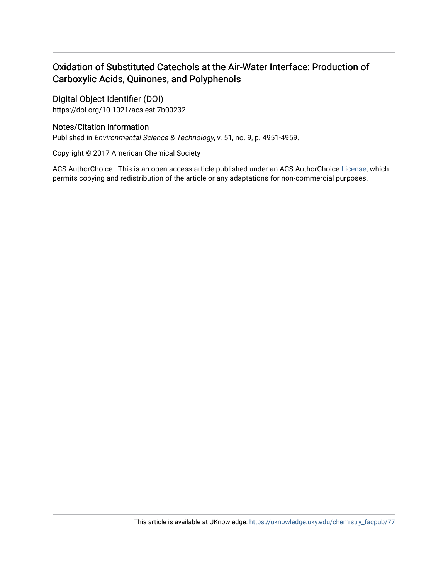# Oxidation of Substituted Catechols at the Air-Water Interface: Production of Carboxylic Acids, Quinones, and Polyphenols

Digital Object Identifier (DOI) https://doi.org/10.1021/acs.est.7b00232

## Notes/Citation Information

Published in Environmental Science & Technology, v. 51, no. 9, p. 4951-4959.

Copyright © 2017 American Chemical Society

ACS AuthorChoice - This is an open access article published under an ACS AuthorChoice [License](http://pubs.acs.org/page/policy/authorchoice_termsofuse.html), which permits copying and redistribution of the article or any adaptations for non-commercial purposes.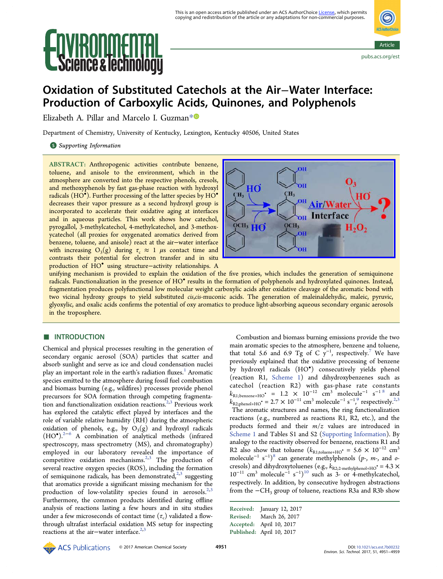# e & Iechnoi



# Oxidation of Substituted Catechols at the Air−Water Interface: Production of Carboxylic Acids, Quinones, and Polyphenols

Elizabeth A. Pillar and Marcelo I. Guzman[\\*](#page-9-0)

Department of Chemistry, University of Kentucky, Lexington, Kentucky 40506, United States

#### **S** [Supporting Information](#page-8-0)

ABSTRACT: Anthropogenic activities contribute benzene, toluene, and anisole to the environment, which in the atmosphere are converted into the respective phenols, cresols, and methoxyphenols by fast gas-phase reaction with hydroxyl radicals (HO<sup>•</sup>). Further processing of the latter species by HO<sup>•</sup> decreases their vapor pressure as a second hydroxyl group is incorporated to accelerate their oxidative aging at interfaces and in aqueous particles. This work shows how catechol, pyrogallol, 3-methylcatechol, 4-methylcatechol, and 3-methoxycatechol (all proxies for oxygenated aromatics derived from benzene, toluene, and anisole) react at the air−water interface with increasing  $O_3(g)$  during  $\tau_c \approx 1$   $\mu$ s contact time and contrasts their potential for electron transfer and in situ production of HO• using structure−activity relationships. A



unifying mechanism is provided to explain the oxidation of the five proxies, which includes the generation of semiquinone radicals. Functionalization in the presence of HO• results in the formation of polyphenols and hydroxylated quinones. Instead, fragmentation produces polyfunctional low molecular weight carboxylic acids after oxidative cleavage of the aromatic bond with two vicinal hydroxy groups to yield substituted cis,cis-muconic acids. The generation of maleinaldehydic, maleic, pyruvic, glyoxylic, and oxalic acids confirms the potential of oxy aromatics to produce light-absorbing aqueous secondary organic aerosols in the troposphere.

## ■ **INTRODUCTION**

Chemical and physical processes resulting in the generation of secondary organic aerosol (SOA) particles that scatter and absorb sunlight and serve as ice and cloud condensation nuclei play an important role in the earth's radiation fluxes.<sup>[1](#page-9-0)</sup> Aromatic species emitted to the atmosphere during fossil fuel combustion and biomass burning (e.g., wildfires) processes provide phenol precursors for SOA formation through competing fragmenta-tion and functionalization oxidation reactions.<sup>[2](#page-9-0),[3](#page-9-0)</sup> Previous work has explored the catalytic effect played by interfaces and the role of variable relative humidity (RH) during the atmospheric oxidation of phenols, e.g., by  $O_3(g)$  and hydroxyl radicals (HO• ).[2](#page-9-0)−[6](#page-9-0) A combination of analytical methods (infrared spectroscopy, mass spectrometry (MS), and chromatography) employed in our laboratory revealed the importance of competitive oxidation mechanisms.<sup>[2,3](#page-9-0)</sup> The production of several reactive oxygen species (ROS), including the formation of semiquinone radicals, has been demonstrated,  $2,3$  suggesting that aromatics provide a significant missing mechanism for the production of low-volatility species found in aerosols.<sup>[2](#page-9-0),[3](#page-9-0)</sup> Furthermore, the common products identified during offline analysis of reactions lasting a few hours and in situ studies under a few microseconds of contact time  $(\tau_c)$  validated a flowthrough ultrafast interfacial oxidation MS setup for inspecting reactions at the air−water interface.<sup>[2](#page-9-0),[3](#page-9-0)</sup>

Combustion and biomass burning emissions provide the two main aromatic species to the atmosphere, benzene and toluene, that total 5.6 and 6.9 Tg of C  $y^{-1}$ , respectively.<sup>[7](#page-9-0)</sup> We have previously explained that the oxidative processing of benzene by hydroxyl radicals (HO• ) consecutively yields phenol (reaction R1, [Scheme 1\)](#page-3-0) and dihydroxybenzenes such as catechol (reaction R2) with gas-phase rate constants  $k_{\text{R1,benzene+HO}}$  = 1.2 × 10<sup>-12</sup> cm<sup>3</sup> molecule<sup>-1</sup> s<sup>-1[8](#page-9-0)</sup> and  $k_{\text{R2,phenol+HO}}$  $k_{\text{R2,phenol+HO}}$  $k_{\text{R2,phenol+HO}}$ ° = 2.7 × 10<sup>-11</sup> cm<sup>3</sup> molecule<sup>-1</sup> s<sup>-1</sup>,<sup>[9](#page-9-0)</sup> respectively.<sup>2,[3](#page-9-0)</sup> , The aromatic structures and names, the ring functionalization reactions (e.g., numbered as reactions R1, R2, etc.), and the products formed and their  $m/z$  values are introduced in [Scheme 1](#page-3-0) and Tables S1 and S2 [\(Supporting Information\)](http://pubs.acs.org/doi/suppl/10.1021/acs.est.7b00232/suppl_file/es7b00232_si_001.pdf). By analogy to the reactivity observed for benzene, reactions R1 and R2 also show that toluene ( $k_{\text{R1;toluene+HO}}$ • = 5.6 × 10<sup>-12</sup> cm<sup>3</sup> molecule<sup>-1</sup> s<sup>-1</sup>)<sup>[8](#page-9-0)</sup> can generate methylphenols (p-, m-, and ocresols) and dihydroxytoluenes (e.g.,  $k_{\text{R2,2-methylphenol+HO}}$  = 4.3  $\times$  $10^{-11}$  $10^{-11}$  cm<sup>3</sup> molecule<sup>-1</sup> s<sup>-1</sup>)<sup>10</sup> such as 3- or 4-methylcatechol, respectively. In addition, by consecutive hydrogen abstractions from the −CH3 group of toluene, reactions R3a and R3b show

Received: January 12, 2017 Revised: March 26, 2017 Accepted: April 10, 2017 Published: April 10, 2017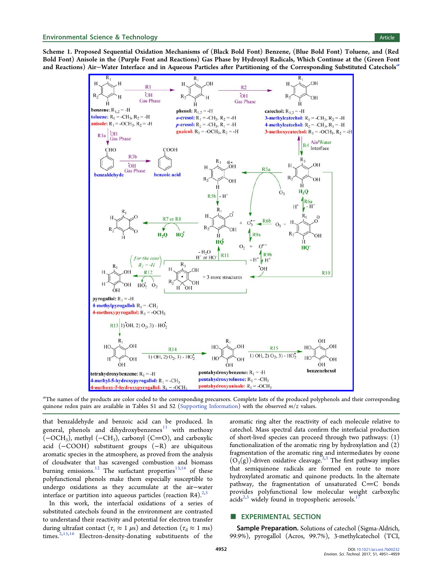<span id="page-3-0"></span>Scheme 1. Proposed Sequential Oxidation Mechanisms of (Black Bold Font) Benzene, (Blue Bold Font) Toluene, and (Red Bold Font) Anisole in the (Purple Font and Reactions) Gas Phase by Hydroxyl Radicals, Which Continue at the (Green Font and Reactions) Air–Water Interface and in Aqueous Particles after Partitioning of the Corresponding Substituted Catechols<sup>a</sup>



a<br>The names of the products are color coded to the corresponding precursors. Complete lists of the produced polyphenols and their corresponding quinone redox pairs are available in Tables S1 and S2 ([Supporting Information](http://pubs.acs.org/doi/suppl/10.1021/acs.est.7b00232/suppl_file/es7b00232_si_001.pdf)) with the observed  $m/z$  values.

that benzaldehyde and benzoic acid can be produced. In general, phenols and dihydroxybenzenes $11$  with methoxy  $(-OCH_3)$ , methyl  $(-CH_3)$ , carbonyl  $(C=O)$ , and carboxylic acid (−COOH) substituent groups (−R) are ubiquitous aromatic species in the atmosphere, as proved from the analysis of cloudwater that has scavenged combustion and biomass burning emissions.<sup>[12](#page-9-0)</sup> The surfactant properties<sup>[13](#page-9-0),[14](#page-9-0)</sup> of these polyfunctional phenols make them especially susceptible to undergo oxidations as they accumulate at the air−water interface or partition into aqueous particles (reaction R4).<sup>[2](#page-9-0),[3](#page-9-0)</sup>

In this work, the interfacial oxidations of a series of substituted catechols found in the environment are contrasted to understand their reactivity and potential for electron transfer during ultrafast contact ( $\tau_c \approx 1 \,\mu s$ ) and detection ( $\tau_d \approx 1 \,\text{ms}$ ) times.<sup>[2](#page-9-0),[15](#page-9-0),[16](#page-9-0)</sup> Electron-density-donating substituents of the

aromatic ring alter the reactivity of each molecule relative to catechol. Mass spectral data confirm the interfacial production of short-lived species can proceed through two pathways: (1) functionalization of the aromatic ring by hydroxylation and (2) fragmentation of the aromatic ring and intermediates by ozone  $(O_3(g))$  $(O_3(g))$  $(O_3(g))$ -driven oxidative cleavage.<sup>[2](#page-9-0),3</sup> The first pathway implies that semiquinone radicals are formed en route to more hydroxylated aromatic and quinone products. In the alternate pathway, the fragmentation of unsaturated  $C=C$  bonds provides polyfunctional low molecular weight carboxylic acids<sup> $2,3$ </sup> widely found in tropospheric aerosols.

#### **EXPERIMENTAL SECTION**

Sample Preparation. Solutions of catechol (Sigma-Aldrich, 99.9%), pyrogallol (Acros, 99.7%), 3-methylcatechol (TCI,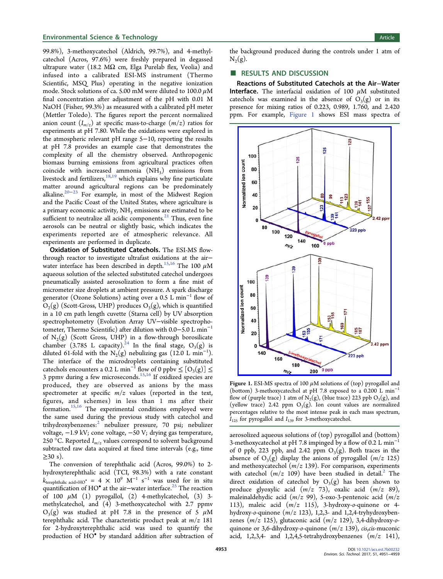#### <span id="page-4-0"></span>**Environmental Science & Technology Article** Article 30 and 30 and 30 and 30 and 30 and 30 and 30 and 30 and 30 and 30 and 30 and 30 and 30 and 30 and 30 and 30 and 30 and 30 and 30 and 30 and 30 and 30 and 30 and 30 and 3

99.8%), 3-methoxycatechol (Aldrich, 99.7%), and 4-methylcatechol (Acros, 97.6%) were freshly prepared in degassed ultrapure water (18.2 M $\Omega$  cm, Elga Purelab flex, Veolia) and infused into a calibrated ESI-MS instrument (Thermo Scientific, MSQ Plus) operating in the negative ionization mode. Stock solutions of ca. 5.00 mM were diluted to 100.0  $\mu$ M final concentration after adjustment of the pH with 0.01 M NaOH (Fisher, 99.3%) as measured with a calibrated pH meter (Mettler Toledo). The figures report the percent normalized anion count  $(I_{m/z})$  at specific mass-to-charge  $(m/z)$  ratios for experiments at pH 7.80. While the oxidations were explored in the atmospheric relevant pH range 5−10, reporting the results at pH 7.8 provides an example case that demonstrates the complexity of all the chemistry observed. Anthropogenic biomass burning emissions from agricultural practices often coincide with increased ammonia  $(NH<sub>3</sub>)$  emissions from livestock and fertilizers,  $18,19$  $18,19$  $18,19$  which explains why fine particulate matter around agricultural regions can be predominately alkaline.[20](#page-9-0)−[23](#page-9-0) For example, in most of the Midwest Region and the Pacific Coast of the United States, where agriculture is a primary economic activity,  $NH<sub>3</sub>$  emissions are estimated to be sufficient to neutralize all acidic components.<sup>[21](#page-9-0)</sup> Thus, even fine aerosols can be neutral or slightly basic, which indicates the experiments reported are of atmospheric relevance. All experiments are performed in duplicate.

Oxidation of Substituted Catechols. The ESI-MS flowthrough reactor to investigate ultrafast oxidations at the air− water interface has been described in depth.<sup>[15](#page-9-0),[16](#page-9-0)</sup> The 100  $\mu$ M aqueous solution of the selected substituted catechol undergoes pneumatically assisted aerosolization to form a fine mist of micrometer size droplets at ambient pressure. A spark discharge generator (Ozone Solutions) acting over a 0.5 L min<sup>-1</sup> flow of  $O_2(g)$  (Scott-Gross, UHP) produces  $O_3(g)$ , which is quantified in a 10 cm path length cuvette (Starna cell) by UV absorption spectrophotometry (Evolution Array UV−visible spectrophotometer, Thermo Scientific) after dilution with 0.0−5.0 L min<sup>−</sup><sup>1</sup> of  $N_2(g)$  (Scott Gross, UHP) in a flow-through borosilicate chamber (3.785 L capacity).<sup>[24](#page-9-0)</sup> In the final stage,  $O_3(g)$  is diluted 61-fold with the  $N_2(g)$  nebulizing gas (12.0 L min<sup>-1</sup>). The interface of the microdroplets containing substituted catechols encounters a 0.2 L min<sup>-1</sup> flow of 0 ppbv  $\leq$  [O<sub>3</sub>(g)]  $\leq$ 3 ppmv during a few microseconds.<sup>[15,16](#page-9-0)</sup> If oxidized species are produced, they are observed as anions by the mass spectrometer at specific  $m/z$  values (reported in the text, figures, and schemes) in less than 1 ms after their formation.[15,16](#page-9-0) The experimental conditions employed were the same used during the previous study with catechol and trihydroxybenzenes:<sup>[2](#page-9-0)</sup> nebulizer pressure, 70 psi; nebulizer voltage, −1.9 kV; cone voltage, −50 V; drying gas temperature, 250 °C. Reported  $I_{m/z}$  values correspond to solvent background subtracted raw data acquired at fixed time intervals (e.g., time  $\geq$ 30 s).

The conversion of terephthalic acid (Acros, 99.0%) to 2 hydroxyterephthalic acid (TCI, 98.3%) with a rate constant  $k_{\text{terephthalic acid+HO}}$  = 4 × 10<sup>9</sup> M<sup>-1</sup> s<sup>-1</sup> was used for in situ quantification of HO<sup>•</sup> at the air−water interface.<sup>[25](#page-9-0)</sup> The reaction of 100  $\mu$ M (1) pyrogallol, (2) 4-methylcatechol, (3) 3methylcatechol, and (4) 3-methoxycatechol with 2.7 ppmv  $O_3(g)$  was studied at pH 7.8 in the presence of 5  $\mu$ M terephthalic acid. The characteristic product peak at  $m/z$  181 for 2-hydroxyterephthalic acid was used to quantify the production of HO• by standard addition after subtraction of

the background produced during the controls under 1 atm of  $N_2(g)$ .

#### ■ RESULTS AND DISCUSSION

Reactions of Substituted Catechols at the Air−Water Interface. The interfacial oxidation of 100  $\mu$ M substituted catechols was examined in the absence of  $O_3(g)$  or in its presence for mixing ratios of 0.223, 0.989, 1.760, and 2.420 ppm. For example, Figure 1 shows ESI mass spectra of



Figure 1. ESI-MS spectra of 100  $\mu$ M solutions of (top) pyrogallol and (bottom) 3-methoxycatechol at pH 7.8 exposed to a 0.200 L min<sup>−</sup><sup>1</sup> flow of (purple trace) 1 atm of  $N_2(g)$ , (blue trace) 223 ppb  $O_3(g)$ , and (yellow trace) 2.42 ppm  $O_3(g)$ . Ion count values are normalized percentages relative to the most intense peak in each mass spectrum,  $I_{125}$  for pyrogallol and  $I_{139}$  for 3-methoxycatechol.

aerosolized aqueous solutions of (top) pyrogallol and (bottom) 3-methoxycatechol at pH 7.8 impinged by a flow of 0.2 L min<sup>−</sup><sup>1</sup> of 0 ppb, 223 ppb, and 2.42 ppm  $O_3(g)$ . Both traces in the absence of  $O_3(g)$  display the anions of pyrogallol  $(m/z 125)$ and methoxycatechol ( $m/z$  139). For comparison, experiments with catechol  $(m/z 109)$  have been studied in detail.<sup>[2](#page-9-0)</sup> The direct oxidation of catechol by  $O_3(g)$  has been shown to produce glyoxylic acid  $(m/z \ 73)$ , oxalic acid  $(m/z \ 89)$ , maleinaldehydic acid  $(m/z 99)$ , 5-oxo-3-pentenoic acid  $(m/z)$ 113), maleic acid  $(m/z$  115), 3-hydroxy-o-quinone or 4hydroxy-o-quinone  $(m/z 123)$ , 1,2,3- and 1,2,4-tryhydroxybenzenes  $(m/z 125)$ , glutaconic acid  $(m/z 129)$ , 3,4-dihydroxy-oquinone or 3,6-dihydroxy-o-quinone  $(m/z 139)$ , cis, cis-muconic acid, 1,2,3,4- and 1,2,4,5-tetrahydroxybenzenes  $(m/z 141)$ ,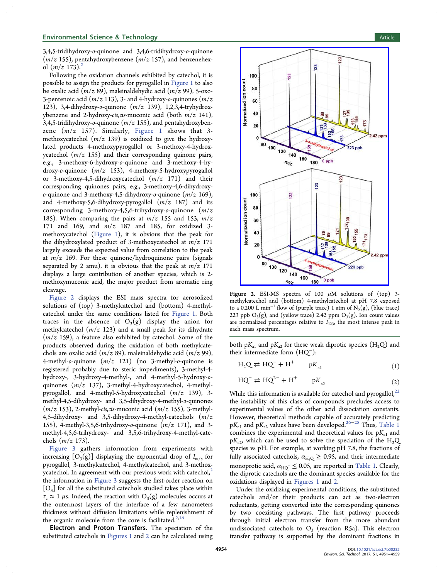#### <span id="page-5-0"></span>**Environmental Science & Technology Article** Article 30 and 30 and 30 and 30 and 30 and 30 and 30 and 30 and 30 and 30 and 30 and 30 and 30 and 30 and 30 and 30 and 30 and 30 and 30 and 30 and 30 and 30 and 30 and 30 and 3

3,4,5-tridihydroxy-o-quinone and 3,4,6-tridihydroxy-o-quinone  $(m/z 155)$ , pentahydroxybenzene  $(m/z 157)$ , and benzenehexol  $(m/z 173)^2$  $(m/z 173)^2$ 

Following the oxidation channels exhibited by catechol, it is possible to assign the products for pyrogallol in [Figure 1](#page-4-0) to also be oxalic acid  $(m/z 89)$ , maleinaldehydic acid  $(m/z 99)$ , 5-oxo-3-pentenoic acid  $(m/z 113)$ , 3- and 4-hydroxy-*o*-quinones  $(m/z)$ 123), 3,4-dihydroxy-o-quinone (m/z 139), 1,2,3,4-tryhydroxybenzene and 2-hydroxy-cis, cis-muconic acid (both  $m/z$  141), 3,4,5-tridihydroxy-*o*-quinone  $(m/z 155)$ , and pentahydroxybenzene  $(m/z \ 157)$ . Similarly, [Figure 1](#page-4-0) shows that 3methoxycatechol  $(m/z 139)$  is oxidized to give the hydroxylated products 4-methoxypyrogallol or 3-methoxy-4-hydroxycatechol  $(m/z 155)$  and their corresponding quinone pairs, e.g., 3-methoxy-6-hydroxy-o-quinone and 3-methoxy-4-hydroxy-o-quinone (m/z 153), 4-methoxy-5-hydroxypyrogallol or 3-methoxy-4,5-dihydroxycatechol  $(m/z \ 171)$  and their corresponding quinones pairs, e.g., 3-methoxy-4,6-dihydroxy*o*-quinone and 3-methoxy-4,5-dihydroxy-*o*-quinone  $(m/z 169)$ , and 4-methoxy-5,6-dihydroxy-pyrogallol  $(m/z \ 187)$  and its corresponding 3-methoxy-4,5,6-trihydroxy-o-quinone  $(m/z)$ 185). When comparing the pairs at  $m/z$  155 and 153,  $m/z$ 171 and 169, and m/z 187 and 185, for oxidized 3 methoxycatechol ([Figure 1](#page-4-0)), it is obvious that the peak for the dihydroxylated product of 3-methoxycatechol at  $m/z$  171 largely exceeds the expected value from correlation to the peak at  $m/z$  169. For these quinone/hydroquinone pairs (signals separated by 2 amu), it is obvious that the peak at  $m/z$  171 displays a large contribution of another species, which is 2 methoxymuconic acid, the major product from aromatic ring cleavage.

Figure 2 displays the ESI mass spectra for aerosolized solutions of (top) 3-methylcatechol and (bottom) 4-methylcatechol under the same conditions listed for [Figure 1](#page-4-0). Both traces in the absence of  $O_3(g)$  display the anion for methylcatechol  $(m/z 123)$  and a small peak for its dihydrate  $(m/z 159)$ , a feature also exhibited by catechol. Some of the products observed during the oxidation of both methylcatechols are oxalic acid  $(m/z 89)$ , maleinaldehydic acid  $(m/z 99)$ , 4-methyl-*o*-quinone  $(m/z \ 121)$  (no 3-methyl-*o*-quinone is registered probably due to steric impediments), 3-methyl-4 hydroxy-, 3-hydroxy-4-methyl-, and 4-methyl-5-hydroxy-oquinones  $(m/z \ 137)$ , 3-methyl-4-hydroxycatechol, 4-methylpyrogallol, and 4-methyl-5-hydroxycatechol  $(m/z \ 139)$ , 3methyl-4,5-dihydroxy- and 3,5-dihydroxy-4-methyl-o-quinones  $(m/z 153)$ , 2-methyl-cis,cis-muconic acid  $(m/z 155)$ , 3-methyl-4,5-dihydroxy- and 3,5-dihydroxy-4-methyl-catechols  $(m/z)$ 155), 4-methyl-3,5,6-trihydroxy-*o*-quinone  $(m/z 171)$ , and 3methyl-4,5,6-trihydroxy- and 3,5,6-trihydroxy-4-methyl-catechols  $(m/z 173)$ .

[Figure 3](#page-6-0) gathers information from experiments with increasing  $[O_3(g)]$  displaying the exponential drop of  $I_{m/z}$  for pyrogallol, 3-methylcatechol, 4-methylcatechol, and 3-methoxycatechol. In agreement with our previous work with catechol, $\lambda$ the information in [Figure 3](#page-6-0) suggests the first-order reaction on  $[O_3]$  for all the substituted catechols studied takes place within  $\tau_c \approx 1 \mu$ s. Indeed, the reaction with  $O_3(g)$  molecules occurs at the outermost layers of the interface of a few nanometers thickness without diffusion limitations while replenishment of the organic molecule from the core is facilitated. $2,16$  $2,16$  $2,16$ 

Electron and Proton Transfers. The speciation of the substituted catechols in [Figures 1](#page-4-0) and 2 can be calculated using



Figure 2. ESI-MS spectra of 100  $\mu$ M solutions of (top) 3methylcatechol and (bottom) 4-methylcatechol at pH 7.8 exposed to a 0.200 L min<sup>-1</sup> flow of (purple trace) 1 atm of  $N_2(g)$ , (blue trace) 223 ppb  $O_3(g)$ , and (yellow trace) 2.42 ppm  $O_3(g)$ . Ion count values are normalized percentages relative to  $I_{123}$ , the most intense peak in each mass spectrum.

both  $pK_{a1}$  and  $pK_{a2}$  for these weak diprotic species (H<sub>2</sub>Q) and their intermediate form (HQ<sup>−</sup>):

$$
H_2Q \rightleftarrows HQ^- + H^+ \qquad pK_{a1} \tag{1}
$$

$$
HQ^- \rightleftarrows HQ^{2-} + H^+ \qquad pK_{a2} \tag{2}
$$

While this information is available for catechol and pyrogallol, $^{22}$  $^{22}$  $^{22}$ the instability of this class of compounds precludes access to experimental values of the other acid dissociation constants. However, theoretical methods capable of accurately predicting pK<sub>a1</sub> and pK<sub>a2</sub> values have been developed.<sup>[26](#page-9-0)−[28](#page-9-0)</sup> Thus, [Table 1](#page-6-0) combines the experimental and theoretical values for  $pK_{a1}$  and  $pK_{a2}$ , which can be used to solve the speciation of the H<sub>2</sub>Q species vs pH. For example, at working pH 7.8, the fractions of fully associated catechols,  $\alpha_{\text{H}_2\text{Q}} \geq 0.95$ , and their intermediate monoprotic acid,  $\alpha_{\rm HQ}^- \leq$  0.05, are reported in [Table 1.](#page-6-0) Clearly, the diprotic catechols are the dominant species available for the oxidations displayed in [Figures 1](#page-4-0) and 2.

Under the oxidizing experimental conditions, the substituted catechols and/or their products can act as two-electron reductants, getting converted into the corresponding quinones by two coexisting pathways. The first pathway proceeds through initial electron transfer from the more abundant undissociated catechols to  $O_3$  (reaction R5a). This electron transfer pathway is supported by the dominant fractions in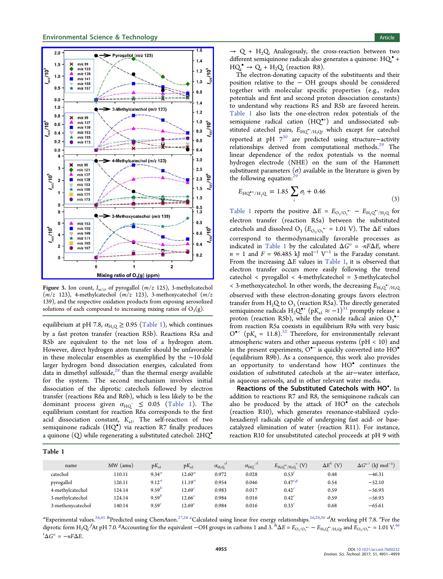<span id="page-6-0"></span>

Figure 3. Ion count,  $I_{m/z}$ , of pyrogallol ( $m/z$  125), 3-methylcatechol  $(m/z$  123), 4-methylcatechol  $(m/z$  123), 3-methoxycatechol  $(m/z)$ 139), and the respective oxidation products from exposing aerosolized solutions of each compound to increasing mixing ratios of  $O_3(g)$ .

equilibrium at pH 7.8,  $\alpha_{\text{H},\text{Q}} \geq 0.95$  (Table 1), which continues by a fast proton transfer (reaction R5b). Reactions R5a and R5b are equivalent to the net loss of a hydrogen atom. However, direct hydrogen atom transfer should be unfavorable in these molecular ensembles as exemplified by the ∼10-fold larger hydrogen bond dissociation energies, calculated from data in dimethyl sulfoxide, $29$  than the thermal energy available for the system. The second mechanism involves initial dissociation of the diprotic catechols followed by electron transfer (reactions R6a and R6b), which is less likely to be the dominant process given  $\alpha_{HQ^-} \leq 0.05$  (Table 1). The equilibrium constant for reaction R6a corresponds to the first acid dissociation constant,  $K_{a1}$ . The self-reaction of two semiquinone radicals (HQ<sup>®</sup>) via reaction R7 finally produces a quinone (Q) while regenerating a substituted catechol: 2HQ•

Table 1

 $\rightarrow$  Q + H<sub>2</sub>Q. Analogously, the cross-reaction between two different semiquinone radicals also generates a quinone:  $HQ_i^* +$  $HQ_i^{\bullet} \rightarrow Q_i + H_2Q_i$  (reaction R8).

The electron-donating capacity of the substituents and their position relative to the − OH groups should be considered together with molecular specific properties (e.g., redox potentials and first and second proton dissociation constants) to understand why reactions R5 and R5b are favored herein. Table 1 also lists the one-electron redox potentials of the semiquione radical cation (HQ<sup>\*+</sup>) and undissociated substituted catechol pairs,  $E_{\rm HQ}^{\bullet +}{}_{/ {\rm H}_2 \rm Q\!\nu}$  which except for catechol reported at pH 7[30](#page-9-0) are predicted using structure−activity relationships derived from computational methods.<sup>[29](#page-9-0)</sup> The linear dependence of the redox potentials vs the normal hydrogen electrode (NHE) on the sum of the Hammett substituent parameters  $(\sigma)$  available in the literature is given by the following equation:<sup>2</sup>

$$
E_{\text{HQ}^{+}/\text{H}_2\text{Q}} = 1.85 \sum_{i} \sigma_i + 0.46 \tag{3}
$$

Table 1 reports the positive  $\Delta E = E_{\text{O}_3/\text{O}_3} - E_{\text{H}_2\text{Q}} + H_2\text{Q}$  for electron transfer (reaction R5a) between the substituted catechols and dissolved O<sub>3</sub> ( $E_{\text{O}_3/\text{O}_3}$  – = 1.01 V). The  $\Delta E$  values correspond to thermodynamically favorable processes as indicated in Table 1 by the calculated  $\Delta G^{\circ}$  = -nF $\Delta E$ , where  $n = 1$  and  $F = 96.485$  kJ mol<sup>-1</sup> V<sup>-1</sup> is the Faraday constant. From the increasing  $\Delta E$  values in Table 1, it is observed that electron transfer occurs more easily following the trend catechol < pyrogallol < 4-methylcatechol = 3-methylcatechol < 3-methoxycatechol. In other words, the decreasing  $E_{\rm H_2Q}^{\bullet\bullet}/_{\rm H_2Q}$ observed with these electron-donating groups favors electron transfer from  $H_2Q$  to  $O_3$  (reaction R5a). The directly generated semiquinone radicals H<sub>2</sub>Q<sup>\*+</sup> (pK<sub>a1</sub>  $\approx$  –1)<sup>[31](#page-9-0)</sup> promptly release a proton (reaction R5b), while the ozonide radical anion  $O_3$ <sup>•−</sup> from reaction R5a coexists in equilibrium R9a with very basic  $Q^{\bullet-}$  (p $K_a = 11.8$ ).<sup>[32](#page-10-0)</sup> Therefore, for environmentally relevant atmospheric waters and other aqueous systems ( $pH < 10$ ) and in the present experiments, O•<sup>−</sup> is quickly converted into HO• (equilibrium R9b). As a consequence, this work also provides an opportunity to understand how HO• continues the oxidation of substituted catechols at the air−water interface, in aqueous aerosols, and in other relevant water media.

Reactions of the Substituted Catechols with HO<sup>\*</sup>. In addition to reactions R7 and R8, the semiquinone radicals can also be produced by the attack of HO• on the catechols (reaction R10), which generates resonance-stabilized cyclohexadienyl radicals capable of undergoing fast acid- or basecatalyzed elimination of water (reaction R11). For instance, reaction R10 for unsubstituted catechol proceeds at pH 9 with

| name              | $MW$ (amu) | $pK_{a1}$         | $pK_{a2}$          | d<br>$\alpha_{\rm H_2Q}$ | $\alpha_{\rm HQ}$ - $d$ | $E_{\mathrm{H}_2\mathrm{Q}^{\bullet+}/\mathrm{H}_2\mathrm{Q}}^{\quad e}$ (V) | $\Delta E^h$<br>(V) | $\Delta G^{\circ i}$ (kJ mol <sup>-1</sup> ) |
|-------------------|------------|-------------------|--------------------|--------------------------|-------------------------|------------------------------------------------------------------------------|---------------------|----------------------------------------------|
| catechol          | 110.11     | 9.34 <sup>a</sup> | $12.60^a$          | 0.972                    | 0.028                   | 0.53'                                                                        | 0.48                | $-46.31$                                     |
| pyrogallol        | 126.11     | 9.12 <sup>a</sup> | $11.19^{a}$        | 0.954                    | 0.046                   | $0.47^{c,g}$                                                                 | 0.54                | $-52.10$                                     |
| 4-methylcatechol  | 124.14     | $9.59^{b}$        | 12.69 <sup>c</sup> | 0.983                    | 0.017                   | 0.42 <sup>c</sup>                                                            | 0.59                | $-56.93$                                     |
| 3-methylcatechol  | 124.14     | $9.59^{b}$        | 12.66 <sup>c</sup> | 0.984                    | 0.016                   | 0.42 <sup>c</sup>                                                            | 0.59                | $-56.93$                                     |
| 3-methoxycatechol | 140.14     | 9.59 <sup>c</sup> | 12.69 <sup>c</sup> | 0.984                    | 0.016                   | 0.33 <sup>c</sup>                                                            | 0.68                | $-65.61$                                     |
|                   |            |                   |                    |                          |                         |                                                                              |                     |                                              |

 ${}^a$ Experimental values. ${}^{26,45}$  ${}^{26,45}$  ${}^{26,45}$  ${}^{26,45}$   ${}^b$ Predicted using ChemAxon. ${}^{27,28}$  ${}^{27,28}$  ${}^{27,28}$   ${}^c$ Calculated using linear free energy relationships. ${}^{26,29,30}$  ${}^{26,29,30}$  ${}^{26,29,30}$   ${}^d$ At working pH 7.8.  ${}^e$ For the diprotic form H<sub>2</sub>Q, <sup>f</sup>At pH 7.0. <sup>8</sup>Accounting for the equivalent −OH groups in carbons 1 and 3.  ${}^{h}\Delta E = E_{O_3/O_3}$   ${}^{h}$  –  $E_{H_2Q}$ <sup>+</sup>/ ${}_{H_3Q}$  and  $E_{O_3/O_3}$  + = 1.01 V.<sup>[46](#page-10-0)</sup>  $i\Delta G^{\circ} = -nF\Delta E.$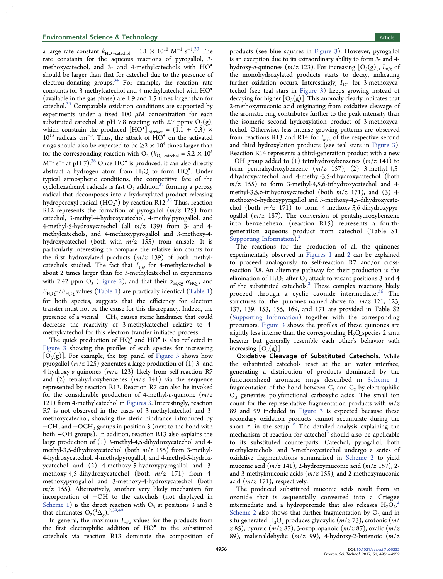a large rate constant  $k_{\text{HO +catechol}} = 1.1 \times 10^{10} \text{ M}^{-1} \text{ s}^{-1.33}$  $k_{\text{HO +catechol}} = 1.1 \times 10^{10} \text{ M}^{-1} \text{ s}^{-1.33}$  $k_{\text{HO +catechol}} = 1.1 \times 10^{10} \text{ M}^{-1} \text{ s}^{-1.33}$  The . rate constants for the aqueous reactions of pyrogallol, 3 methoxycatechol, and 3- and 4-methylcatechols with HO• should be larger than that for catechol due to the presence of electron-donating groups. $34$  For example, the reaction rate constants for 3-methylcatechol and 4-methylcatechol with HO• (available in the gas phase) are 1.9 and 1.5 times larger than for catechol.<sup>[35](#page-10-0)</sup> Comparable oxidation conditions are supported by experiments under a fixed 100  $\mu$ M concentration for each substituted catechol at pH 7.8 reacting with 2.7 ppmv  $O_3(g)$ , which constrain the produced  $[HO^{\bullet}]_{interface} = (1.1 \pm 0.3) \times$  $10^{13}$  radicals cm<sup>-3</sup>. Thus, the attack of HO<sup>•</sup> on the activated rings should also be expected to be  ${\geq}2 \times 10^4$  times larger than for the corresponding reaction with O<sub>3</sub> ( $k_{\text{O}_3+\text{catechol}} = 5.2 \times 10^5$ M<sup>−1</sup> s<sup>−1</sup> at pH 7).<sup>[36](#page-10-0)</sup> Once HO<sup>•</sup> is produced, it can also directly abstract a hydrogen atom from  $H_2Q$  to form  $HQ^{\bullet}$ . Under typical atmospheric conditions, the competitive fate of the cyclohexadienyl radicals is fast  $O_2$  addition<sup>[37](#page-10-0)</sup> forming a peroxy radical that decomposes into a hydroxylated product releasing hydroperoxyl radical  $(HO_2^{\bullet})$  by reaction R12.<sup>[38](#page-10-0)</sup> Thus, reaction R12 represents the formation of pyrogallol  $(m/z 125)$  from catechol, 3-methyl-4-hydroxycatechol, 4-methylpyrogallol, and 4-methyl-5-hydroxycatechol (all  $m/z$  139) from 3- and 4methylcatechols, and 4-methoxypyrogallol and 3-methoxy-4 hydroxycatechol (both with  $m/z$  155) from anisole. It is particularly interesting to compare the relative ion counts for the first hydroxylated products  $(m/z 139)$  of both methylcatechols studied. The fact that  $I_{139}$  for 4-methylcatechol is about 2 times larger than for 3-methylcatechol in experiments with 2.42 ppm O<sub>3</sub> ([Figure 2](#page-5-0)), and that their  $\alpha_{\text{H}_2\text{O}}$ ,  $\alpha_{\text{HO}}$ <sup>-</sup>, and  $E_{\text{H}_2\text{O}^{\bullet+}}/E_{\text{H}_2\text{O}}$  values [\(Table 1](#page-6-0)) are practically identical [\(Table 1\)](#page-6-0) for both species, suggests that the efficiency for electron transfer must not be the cause for this discrepancy. Indeed, the presence of a vicinal  $-CH_3$  causes steric hindrance that could decrease the reactivity of 3-methylcatechol relative to 4 methylcatechol for this electron transfer initiated process.

The quick production of HQ<sup>°</sup> and HO<sup>°</sup> is also reflected in [Figure 3](#page-6-0) showing the profiles of each species for increasing  $[O_3(g)]$ . For example, the top panel of [Figure 3](#page-6-0) shows how pyrogallol ( $m/z$  125) generates a large production of (1) 3- and 4-hydroxy-*o*-quinones  $(m/z \ 123)$  likely from self-reaction R7 and (2) tetrahydroxybenzenes  $(m/z \ 141)$  via the sequence represented by reaction R13. Reaction R7 can also be invoked for the considerable production of 4-methyl-*o*-quinone  $(m/z)$ 121) from 4-methylcatechol in [Figures 3.](#page-6-0) Interestingly, reaction R7 is not observed in the cases of 3-methylcatechol and 3 methoxycatechol, showing the steric hindrance introduced by −CH3 and −OCH3 groups in position 3 (next to the bond with both −OH groups). In addition, reaction R13 also explains the large production of (1) 3-methyl-4,5-dihydroxycatechol and 4 methyl-3,5-dihydroxycatechol (both  $m/z$  155) from 3-methyl-4-hydroxycatechol, 4-methylpyrogallol, and 4-methyl-5-hydroxycatechol and (2) 4-methoxy-5-hydroxypyrogallol and 3 methoxy-4,5-dihydroxycatechol (both  $m/z$  171) from 4methoxypyrogallol and 3-methoxy-4-hydroxycatechol (both  $m/z$  155). Alternatively, another very likely mechanism for incorporation of −OH to the catechols (not displayed in [Scheme 1](#page-3-0)) is the direct reaction with  $O_3$  at positions 3 and 6 that eliminates  $O_2(^1\Delta_g)$  $O_2(^1\Delta_g)$  $O_2(^1\Delta_g)$ .<sup>2,[39,40](#page-10-0)</sup>

In general, the maximum  $I_{m/z}$  values for the products from the first electrophilic addition of HO• to the substituted catechols via reaction R13 dominate the composition of products (see blue squares in [Figure 3\)](#page-6-0). However, pyrogallol is an exception due to its extraordinary ability to form 3- and 4 hydroxy-o-quinones  $(m/z 123)$ . For increasing  $[O_3(g)]$ ,  $I_{m/z}$  of the monohydroxylated products starts to decay, indicating further oxidation occurs. Interestingly,  $I_{171}$  for 3-methoxycatechol (see teal stars in [Figure 3\)](#page-6-0) keeps growing instead of decaying for higher  $[O_3(g)]$ . This anomaly clearly indicates that 2-methoxymuconic acid originating from oxidative cleavage of the aromatic ring contributes further to the peak intensity than the isomeric second hydroxylation product of 3-methoxycatechol. Otherwise, less intense growing patterns are observed from reactions R13 and R14 for  $I_{m/z}$  of the respective second and third hydroxylation products (see teal stars in [Figure 3\)](#page-6-0). Reaction R14 represents a third-generation product with a new  $-OH$  group added to (1) tetrahydroxybenzenes (m/z 141) to form pentrahydroxybenzene  $(m/z 157)$ ,  $(2)$  3-methyl-4,5dihydroxycatechol and 4-methyl-3,5-dihydroxycatechol (both  $m/z$  155) to form 3-methyl-4,5,6-trihydroxycatechol and 4methyl-3,5,6-trihydroxycatechol (both  $m/z$  171), and (3) 4methoxy-5-hydroxypyrigallol and 3-methoxy-4,5-dihydroxycatechol (both  $m/z$  171) to form 4-methoxy-5,6-dihydroxypyrogallol  $(m/z \ 187)$ . The conversion of pentahydroxybenzene into benzenehexol (reaction R15) represents a fourthgeneration aqueous product from catechol (Table S1, [Supporting Information](http://pubs.acs.org/doi/suppl/10.1021/acs.est.7b00232/suppl_file/es7b00232_si_001.pdf)).<sup>2</sup>

The reactions for the production of all the quinones experimentally observed in [Figures 1](#page-4-0) and [2](#page-5-0) can be explained to proceed analogously to self-reaction R7 and/or crossreaction R8. An alternate pathway for their production is the elimination of  $H_2O_2$  after  $O_3$  attack to vacant positions 3 and 4 of the substituted catechols. $2$  These complex reactions likely proceed through a cyclic ozonide intermediate.<sup>[36](#page-10-0)</sup> The structures for the quinones named above for  $m/z$  121, 123, 137, 139, 153, 155, 169, and 171 are provided in Table S2 [\(Supporting Information\)](http://pubs.acs.org/doi/suppl/10.1021/acs.est.7b00232/suppl_file/es7b00232_si_001.pdf) together with the corresponding precursors. [Figure 3](#page-6-0) shows the profiles of these quinones are slightly less intense than the corresponding  $H_2Q$  species 2 amu heavier but generally resemble each other's behavior with increasing  $[O_3(g)]$ .

Oxidative Cleavage of Substituted Catechols. While the substituted catechols react at the air−water interface, generating a distribution of products dominated by the functionalized aromatic rings described in [Scheme 1,](#page-3-0) fragmentation of the bond between  $C_1$  and  $C_2$  by electrophilic O3 generates polyfunctional carboxylic acids. The small ion count for the representative fragmentation products with  $m/z$ 89 and 99 included in [Figure 3](#page-6-0) is expected because these secondary oxidation products cannot accumulate during the short  $\tau_c$  in the setup.<sup>[16](#page-9-0)</sup> The detailed analysis explaining the mechanism of reaction for catechol $2$  should also be applicable to its substituted counterparts. Catechol, pyrogallol, both methylcatechols, and 3-methoxycatechol undergo a series of oxidative fragmentations summarized in [Scheme 2](#page-8-0) to yield muconic acid (m/z 141), 2-hydroxymuconic acid (m/z 157), 2 and 3-methylmuconic acids  $(m/z 155)$ , and 2-methoxymuconic acid  $(m/z 171)$ , respectively.

The produced substituted muconic acids result from an ozonide that is sequentially converted into a Criegee intermediate and a hydroperoxide that also releases  $H_2O_2^2$  $H_2O_2^2$  $H_2O_2^2$ . [Scheme 2](#page-8-0) also shows that further fragmentation by  $O_3$  and in situ generated  $H_2O_2$  produces glyoxylic (*m*/z 73), crotonic (*m*/ z 85), pyruvic  $(m/z 87)$ , 3-oxopropanoic  $(m/z 87)$ , oxalic  $(m/z 87)$ 89), maleinaldehydic  $(m/z 99)$ , 4-hydroxy-2-butenoic  $(m/z)$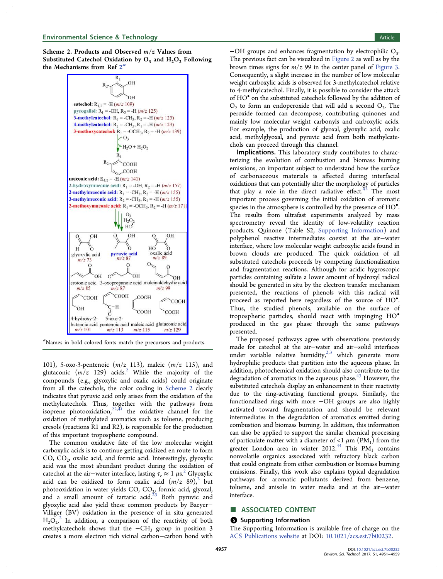<span id="page-8-0"></span>Scheme 2. Products and Observed  $m/z$  Values from Substituted Catechol Oxidation by  $O_3$  and  $H_2O_2$  Following the Mechanisms from Ref  $2<sup>a</sup>$  $2<sup>a</sup>$ 



a Names in bold colored fonts match the precursors and products.

101), 5-oxo-3-pentenoic  $(m/z 113)$ , maleic  $(m/z 115)$ , and glutaconic  $(m/z \t129)$  $(m/z \t129)$  $(m/z \t129)$  acids.<sup>2</sup> While the majority of the compounds (e.g., glyoxylic and oxalic acids) could originate from all the catechols, the color coding in Scheme 2 clearly indicates that pyruvic acid only arises from the oxidation of the methylcatechols. Thus, together with the pathways from isoprene photooxidation,  $22,41$  $22,41$  $22,41$  the oxidative channel for the oxidation of methylated aromatics such as toluene, producing cresols (reactions R1 and R2), is responsible for the production of this important tropospheric compound.

The common oxidative fate of the low molecular weight carboxylic acids is to continue getting oxidized en route to form CO,  $CO<sub>2</sub>$ , oxalic acid, and formic acid. Interestingly, glyoxylic acid was the most abundant product during the oxidation of catechol at the air–water interface, lasting  $\tau_c \approx 1 \mu s^2$  $\tau_c \approx 1 \mu s^2$  Glyoxylic acid can be oxidized to form oxalic acid  $(m/z 89)<sup>2</sup>$  $(m/z 89)<sup>2</sup>$  $(m/z 89)<sup>2</sup>$  but photooxidation in water yields CO, CO<sub>2,</sub> formic acid, glyoxal, and a small amount of tartaric acid. $23$  Both pyruvic and glyoxylic acid also yield these common products by Baeyer− Villiger (BV) oxidation in the presence of in situ generated  $H_2O_2^2$  $H_2O_2^2$  $H_2O_2^2$  In addition, a comparison of the reactivity of both methylcatechols shows that the  $-CH_3$  group in position 3 creates a more electron rich vicinal carbon−carbon bond with

 $-OH$  groups and enhances fragmentation by electrophilic  $O_3$ . The previous fact can be visualized in [Figure 2](#page-5-0) as well as by the brown times signs for  $m/z$  99 in the center panel of [Figure 3.](#page-6-0) Consequently, a slight increase in the number of low molecular weight carboxylic acids is observed for 3-methylcatechol relative to 4-methylcatechol. Finally, it is possible to consider the attack of HO• on the substituted catechols followed by the addition of  $O<sub>2</sub>$  to form an endoperoxide that will add a second  $O<sub>2</sub>$ . The peroxide formed can decompose, contributing quinones and mainly low molecular weight carbonyls and carboxylic acids. For example, the production of glyoxal, glyoxylic acid, oxalic acid, methylglyoxal, and pyruvic acid from both methylcatechols can proceed through this channel.

Implications. This laboratory study contributes to characterizing the evolution of combustion and biomass burning emissions, an important subject to understand how the surface of carbonaceous materials is affected during interfacial oxidations that can potentially alter the morphology of particles that play a role in the direct radiative effect. $42$  The most important process governing the initial oxidation of aromatic species in the atmosphere is controlled by the presence of HO<sup>•</sup>. . The results from ultrafast experiments analyzed by mass spectrometry reveal the identity of low-volatility reaction products. Quinone (Table S2, [Supporting Information\)](http://pubs.acs.org/doi/suppl/10.1021/acs.est.7b00232/suppl_file/es7b00232_si_001.pdf) and polyphenol reactive intermediates coexist at the air−water interface, where low molecular weight carboxylic acids found in brown clouds are produced. The quick oxidation of all substituted catechols proceeds by competing functionalization and fragmentation reactions. Although for acidic hygroscopic particles containing sulfate a lower amount of hydroxyl radical should be generated in situ by the electron transfer mechanism presented, the reactions of phenols with this radical will proceed as reported here regardless of the source of HO<sup>.</sup> . Thus, the studied phenols, available on the surface of tropospheric particles, should react with impinging HO• produced in the gas phase through the same pathways presented.

The proposed pathways agree with observations previously made for catechol at the air−water and air−solid interfaces under variable relative humidity, $2,3$  $2,3$  $2,3$  which generate more hydrophilic products that partition into the aqueous phase. In addition, photochemical oxidation should also contribute to the degradation of aromatics in the aqueous phase.<sup>[43](#page-10-0)</sup> However, the substituted catechols display an enhancement in their reactivity due to the ring-activating functional groups. Similarly, the functionalized rings with more −OH groups are also highly activated toward fragmentation and should be relevant intermediates in the degradation of aromatics emitted during combustion and biomass burning. In addition, this information can also be applied to support the similar chemical processing of particulate matter with a diameter of  $\langle 1 \mu m (PM_1)$  from the greater London area in winter 2012.<sup>[44](#page-10-0)</sup> This  $PM_1$  contains nonvolatile organics associated with refractory black carbon that could originate from either combustion or biomass burning emissions. Finally, this work also explains typical degradation pathways for aromatic pollutants derived from benzene, toluene, and anisole in water media and at the air−water interface.

#### ■ ASSOCIATED CONTENT

#### **S** Supporting Information

The Supporting Information is available free of charge on the [ACS Publications website](http://pubs.acs.org) at DOI: [10.1021/acs.est.7b00232](http://pubs.acs.org/doi/abs/10.1021/acs.est.7b00232).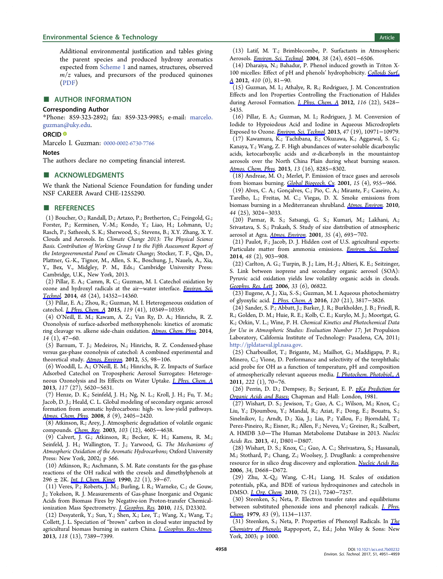<span id="page-9-0"></span>Additional environmental justification and tables giving the parent species and produced hydroxy aromatics expected from [Scheme 1](#page-3-0) and names, structures, observed  $m/z$  values, and precursors of the produced quinones [\(PDF](http://pubs.acs.org/doi/suppl/10.1021/acs.est.7b00232/suppl_file/es7b00232_si_001.pdf))

#### ■ AUTHOR INFORMATION

#### Corresponding Author

\*Phone: 859-323-2892; fax: 859-323-9985; e-mail: [marcelo.](mailto:marcelo.guzman@uky.edu) [guzman@uky.edu.](mailto:marcelo.guzman@uky.edu)

#### ORCID<sup>®</sup>

Marcelo I. Guzman: [0000-0002-6730-7766](http://orcid.org/0000-0002-6730-7766)

#### Notes

The authors declare no competing financial interest.

#### ■ ACKNOWLEDGMENTS

We thank the National Science Foundation for funding under NSF CAREER Award CHE-1255290.

#### **ENDERGERGERENCES**

(1) Boucher, O.; Randall, D.; Artaxo, P.; Bretherton, C.; Feingold, G.; Forster, P.; Kerminen, V.-M.; Kondo, Y.; Liao, H.; Lohmann, U.; Rasch, P.; Satheesh, S. K.; Sherwood, S.; Stevens, B.; X.Y. Zhang, X. Y. Clouds and Aerosols. In Climate Change 2013: The Physical Science Basis. Contribution of Working Group I to the Fifth Assessment Report of the Intergovernmental Panel on Climate Change; Stocker, T. F., Qin, D., Plattner, G.-K., Tignor, M., Allen, S. K., Boschung, J., Nauels, A., Xia, Y., Bex, V., Midgley, P. M., Eds.; Cambridge University Press: Cambridge, U.K., New York, 2013.

(2) Pillar, E. A.; Camm, R. C.; Guzman, M. I. Catechol oxidation by ozone and hydroxyl radicals at the air−water interface. [Environ. Sci.](http://pubs.acs.org/action/showLinks?system=10.1021%2Fes504094x&coi=1%3ACAS%3A528%3ADC%252BC2cXhvFynt77K&citationId=p_n_2_1) [Technol](http://pubs.acs.org/action/showLinks?system=10.1021%2Fes504094x&coi=1%3ACAS%3A528%3ADC%252BC2cXhvFynt77K&citationId=p_n_2_1). 2014, 48 (24), 14352−14360.

(3) Pillar, E. A.; Zhou, R.; Guzman, M. I. Heterogeneous oxidation of catechol. [J. Phys. Chem. A](http://pubs.acs.org/action/showLinks?system=10.1021%2Facs.jpca.5b07914&coi=1%3ACAS%3A528%3ADC%252BC2MXhsFGrt7rF&citationId=p_n_3_1) 2015, 119 (41), 10349−10359.

(4) O'Neill, E. M.; Kawam, A. Z.; Van Ry, D. A.; Hinrichs, R. Z. Ozonolysis of surface-adsorbed methoxyphenols: kinetics of aromatic ring cleavage vs. alkene side-chain oxidation. [Atmos. Chem. Phys.](http://pubs.acs.org/action/showLinks?crossref=10.5194%2Facp-14-47-2014&coi=1%3ACAS%3A528%3ADC%252BC2cXhvFOhs78%253D&citationId=p_n_4_1) 2014, 14 (1), 47−60.

(5) Barnum, T. J.; Medeiros, N.; Hinrichs, R. Z. Condensed-phase versus gas-phase ozonolysis of catechol: A combined experimental and theoretical study. [Atmos. Environ.](http://pubs.acs.org/action/showLinks?crossref=10.1016%2Fj.atmosenv.2012.02.019&coi=1%3ACAS%3A528%3ADC%252BC38Xot1eisLw%253D&citationId=p_n_5_1) 2012, 55, 98−106.

(6) Woodill, L. A.; O'Neill, E. M.; Hinrichs, R. Z. Impacts of Surface Adsorbed Catechol on Tropospheric Aerosol Surrogates: Heterogeneous Ozonolysis and Its Effects on Water Uptake. [J. Phys. Chem. A](http://pubs.acs.org/action/showLinks?system=10.1021%2Fjp400748r&coi=1%3ACAS%3A528%3ADC%252BC3sXpsFGmt74%253D&citationId=p_n_8_1) 2013, 117 (27), 5620−5631.

(7) Henze, D. K.; Seinfeld, J. H.; Ng, N. L.; Kroll, J. H.; Fu, T. M.; Jacob, D. J.; Heald, C. L. Global modeling of secondary organic aerosol formation from aromatic hydrocarbons: high- vs. low-yield pathways. [Atmos. Chem. Phys](http://pubs.acs.org/action/showLinks?crossref=10.5194%2Facp-8-2405-2008&coi=1%3ACAS%3A528%3ADC%252BD1cXotlKktrs%253D&citationId=p_n_9_1). 2008, 8 (9), 2405−2420.

(8) Atkinson, R.; Arey, J. Atmospheric degradation of volatile organic compounds. [Chem. Rev](http://pubs.acs.org/action/showLinks?system=10.1021%2Fcr0206420&coi=1%3ACAS%3A528%3ADC%252BD3sXosVChtrs%253D&citationId=p_n_10_1). 2003, 103 (12), 4605−4638.

(9) Calvert, J. G.; Atkinson, R.; Becker, K. H.; Kamens, R. M.; Seinfeld, J. H.; Wallington, T. J.; Yarwood, G. The Mechanisms of Atmospheric Oxidation of the Aromatic Hydrocarbons; Oxford University Press: New York, 2002; p 566.

(10) Atkinson, R.; Aschmann, S. M. Rate constants for the gas-phase reactions of the OH radical with the cresols and dimethylphenols at 296 ± 2K. *[Int. J. Chem. Kinet](http://pubs.acs.org/action/showLinks?crossref=10.1002%2Fkin.550220105&coi=1%3ACAS%3A528%3ADyaK3cXhvFOgtL8%253D&citationId=p_n_12_1).* 1990, 22 (1), 59–67.

(11) Veres, P.; Roberts, J. M.; Burling, I. R.; Warneke, C.; de Gouw, J.; Yokelson, R. J. Measurements of Gas-phase Inorganic and Organic Acids from Biomass Fires by Negative-ion Proton-transfer Chemicalionization Mass Spectrometry. *[J. Geophys. Res](http://pubs.acs.org/action/showLinks?crossref=10.1029%2F2010JD014033&coi=1%3ACAS%3A528%3ADC%252BC3MXhsF2ht7k%253D&citationId=p_n_13_1).* 2010, 115, D23302.

(12) Desyaterik, Y.; Sun, Y.; Shen, X.; Lee, T.; Wang, X.; Wang, T.; Collett, J. L. Speciation of "brown" carbon in cloud water impacted by agricultural biomass burning in eastern China. [J. Geophys. Res.-Atmos.](http://pubs.acs.org/action/showLinks?crossref=10.1002%2Fjgrd.50561&coi=1%3ACAS%3A528%3ADC%252BC3sXhtFGmsrfO&citationId=p_n_14_1) 2013, 118 (13), 7389−7399.

(13) Latif, M. T.; Brimblecombe, P. Surfactants in Atmospheric Aerosols. [Environ. Sci. Technol.](http://pubs.acs.org/action/showLinks?system=10.1021%2Fes049109n&coi=1%3ACAS%3A528%3ADC%252BD2cXpslentLw%253D&citationId=p_n_15_1) 2004, 38 (24), 6501−6506.

(14) Dharaiya, N.; Bahadur, P. Phenol induced growth in Triton X-100 micelles: Effect of pH and phenols' hydrophobicity. [Colloids Surf.,](http://pubs.acs.org/action/showLinks?crossref=10.1016%2Fj.colsurfa.2012.06.021&coi=1%3ACAS%3A528%3ADC%252BC38XhtFSrsLvM&citationId=p_n_16_1) [A](http://pubs.acs.org/action/showLinks?crossref=10.1016%2Fj.colsurfa.2012.06.021&coi=1%3ACAS%3A528%3ADC%252BC38XhtFSrsLvM&citationId=p_n_16_1) 2012, 410 (0), 81−90.

(15) Guzman, M. I.; Athalye, R. R.; Rodriguez, J. M. Concentration Effects and Ion Properties Controlling the Fractionation of Halides during Aerosol Formation. *[J. Phys. Chem. A](http://pubs.acs.org/action/showLinks?system=10.1021%2Fjp3011316&coi=1%3ACAS%3A528%3ADC%252BC38XntVOks74%253D&citationId=p_n_17_1)* 2012, 116 (22), 5428− 5435.

(16) Pillar, E. A.; Guzman, M. I.; Rodriguez, J. M. Conversion of Iodide to Hypoiodous Acid and Iodine in Aqueous Microdroplets Exposed to Ozone. [Environ. Sci. Technol.](http://pubs.acs.org/action/showLinks?system=10.1021%2Fes401700h&coi=1%3ACAS%3A528%3ADC%252BC3sXhtlClsbjO&citationId=p_n_18_1) 2013, 47 (19), 10971−10979.

(17) Kawamura, K.; Tachibana, E.; Okuzawa, K.; Aggarwal, S. G.; Kanaya, Y.; Wang, Z. F. High abundances of water-soluble dicarboxylic acids, ketocarboxylic acids and  $\alpha$ -dicarbonyls in the mountaintop aerosols over the North China Plain during wheat burning season. [Atmos. Chem. Phys](http://pubs.acs.org/action/showLinks?crossref=10.5194%2Facp-13-8285-2013&coi=1%3ACAS%3A528%3ADC%252BC3sXhsleqtbrE&citationId=p_n_19_1). 2013, 13 (16), 8285−8302.

(18) Andreae, M. O.; Merlet, P. Emission of trace gases and aerosols from biomass burning. [Global Biogeoch. Cy](http://pubs.acs.org/action/showLinks?crossref=10.1029%2F2000GB001382&coi=1%3ACAS%3A528%3ADC%252BD38XjtV2iuw%253D%253D&citationId=p_n_20_1). 2001, 15 (4), 955−966.

(19) Alves, C. A.; Goncalves, C.; Pio, C. A.; Mirante, F.; Caseiro, A.; ̧ Tarelho, L.; Freitas, M. C.; Viegas, D. X. Smoke emissions from biomass burning in a Mediterranean shrubland. [Atmos. Environ.](http://pubs.acs.org/action/showLinks?crossref=10.1016%2Fj.atmosenv.2010.05.010&coi=1%3ACAS%3A528%3ADC%252BC3cXotlSluro%253D&citationId=p_n_21_1) 2010, 44 (25), 3024−3033.

(20) Parmar, R. S.; Satsangi, G. S.; Kumari, M.; Lakhani, A.; Srivastava, S. S.; Prakash, S. Study of size distribution of atmospheric aerosol at Agra. [Atmos. Environ.](http://pubs.acs.org/action/showLinks?crossref=10.1016%2FS1352-2310%2800%2900317-4&coi=1%3ACAS%3A528%3ADC%252BD3cXosFensbs%253D&citationId=p_n_22_1) 2001, 35 (4), 693−702.

(21) Paulot, F.; Jacob, D. J. Hidden cost of U.S. agricultural exports: Particulate matter from ammonia emissions. [Environ. Sci. Technol.](http://pubs.acs.org/action/showLinks?system=10.1021%2Fes4034793&coi=1%3ACAS%3A528%3ADC%252BC3sXhvFymsb%252FO&citationId=p_n_23_1) 2014, 48 (2), 903−908.

(22) Carlton, A. G.; Turpin, B. J.; Lim, H.-J.; Altieri, K. E.; Seitzinger, S. Link between isoprene and secondary organic aerosol (SOA): Pyruvic acid oxidation yields low volatility organic acids in clouds. [Geophys. Res. Lett.](http://pubs.acs.org/action/showLinks?crossref=10.1029%2F2005GL025374&coi=1%3ACAS%3A528%3ADC%252BD28XltVWku74%253D&citationId=p_n_24_1) 2006, 33 (6), 06822.

(23) Eugene, A. J.; Xia, S.-S.; Guzman, M. I. Aqueous photochemistry of glyoxylic acid. [J. Phys. Chem. A](http://pubs.acs.org/action/showLinks?system=10.1021%2Facs.jpca.6b00225&coi=1%3ACAS%3A528%3ADC%252BC28XotFKkurY%253D&citationId=p_n_25_1) 2016, 120 (21), 3817−3826.

(24) Sander, S. P.; Abbatt, J.; Barker, J. R.; Burkholder, J. B.; Friedl, R. R.; Golden, D. M.; Huie, R. E.; Kolb, C. E.; Kurylo, M. J.; Moortgat, G. K.; Orkin, V. L.; Wine, P. H. Chemical Kinetics and Photochemical Data for Use in Atmospheric Studies: Evaluation Number 17; Jet Propulsion Laboratory, California Institute of Technology: Pasadena, CA, 2011; <http://jpldataeval.jpl.nasa.gov>.

(25) Charbouillot, T.; Brigante, M.; Mailhot, G.; Maddigapu, P. R.; Minero, C.; Vione, D. Performance and selectivity of the terephthalic acid probe for OH as a function of temperature, pH and composition of atmospherically relevant aqueous media. [J. Photochem. Photobiol., A](http://pubs.acs.org/action/showLinks?crossref=10.1016%2Fj.jphotochem.2011.05.003&coi=1%3ACAS%3A528%3ADC%252BC3MXhtVSqsbfL&citationId=p_n_27_1) 2011, 222 (1), 70−76.

(26) Perrin, D. D.; Dempsey, B.; Serjeant, E. P. [pKa Prediction for](http://pubs.acs.org/action/showLinks?crossref=10.1007%2F978-94-009-5883-8&citationId=p_n_28_1) [Organic Acids and Bases](http://pubs.acs.org/action/showLinks?crossref=10.1007%2F978-94-009-5883-8&citationId=p_n_28_1); Chapman and Hall: London, 1981.

(27) Wishart, D. S.; Jewison, T.; Guo, A. C.; Wilson, M.; Knox, C.; Liu, Y.; Djoumbou, Y.; Mandal, R.; Aziat, F.; Dong, E.; Bouatra, S.; Sinelnikov, I.; Arndt, D.; Xia, J.; Liu, P.; Yallou, F.; Bjorndahl, T.; Perez-Pineiro, R.; Eisner, R.; Allen, F.; Neveu, V.; Greiner, R.; Scalbert, A. HMDB 3.0-The Human Metabolome Database in 2013. Nucleic Acids Res. 2013, 41, D801−D807.

(28) Wishart, D. S.; Knox, C.; Guo, A. C.; Shrivastava, S.; Hassanali, M.; Stothard, P.; Chang, Z.; Woolsey, J. DrugBank: a comprehensive resource for in silico drug discovery and exploration. [Nucleic Acids Res.](http://pubs.acs.org/action/showLinks?pmid=16381955&crossref=10.1093%2Fnar%2Fgkj067&coi=1%3ACAS%3A528%3ADC%252BD28XisFOrsw%253D%253D&citationId=p_n_30_1) 2006, 34, D668−D672.

(29) Zhu, X.-Q.; Wang, C.-H.; Liang, H. Scales of oxidation potentials, pKa, and BDE of various hydroquinones and catechols in DMSO. [J. Org. Chem.](http://pubs.acs.org/action/showLinks?system=10.1021%2Fjo101455m&coi=1%3ACAS%3A528%3ADC%252BC3cXht1ajt73O&citationId=p_n_31_1) 2010, 75 (21), 7240−7257.

(30) Steenken, S.; Neta, P. Electron transfer rates and equilibriums between substituted phenoxide ions and phenoxyl radicals. [J. Phys.](http://pubs.acs.org/action/showLinks?system=10.1021%2Fj100472a005&coi=1%3ACAS%3A528%3ADyaE1MXhvVKjs7c%253D&citationId=p_n_32_1) [Chem.](http://pubs.acs.org/action/showLinks?system=10.1021%2Fj100472a005&coi=1%3ACAS%3A528%3ADyaE1MXhvVKjs7c%253D&citationId=p_n_32_1) 1979, 83 (9), 1134-1137.

(31) Steenken, S.; Neta, P. Properties of Phenoxyl Radicals. In [The](http://pubs.acs.org/action/showLinks?crossref=10.1002%2F0470857277.ch16&citationId=p_n_33_1) [Chemistry of Phenols](http://pubs.acs.org/action/showLinks?crossref=10.1002%2F0470857277.ch16&citationId=p_n_33_1); Rappoport, Z., Ed.; John Wiley & Sons: New York, 2003; p 1000.